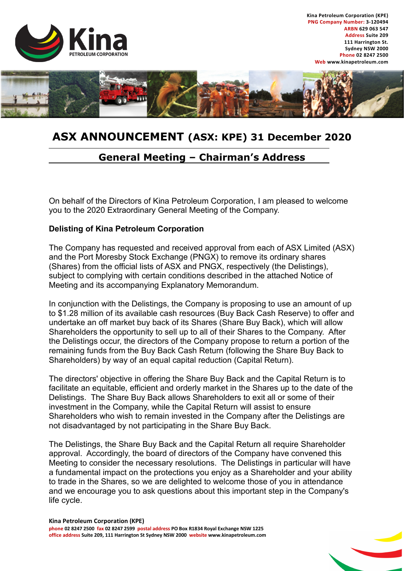

**Kina Petroleum Corporation (KPE) PNG Company Number: 3-120494 ARBN 629 063 547 Address Suite 209 111 Harrington St. Sydney NSW 2000 Phone 02 8247 2500 Web www.kinapetroleum.com**



## **ASX ANNOUNCEMENT (ASX: KPE) 31 December 2020**

## **General Meeting – Chairman's Address**

On behalf of the Directors of Kina Petroleum Corporation, I am pleased to welcome you to the 2020 Extraordinary General Meeting of the Company.

## **Delisting of Kina Petroleum Corporation**

The Company has requested and received approval from each of ASX Limited (ASX) and the Port Moresby Stock Exchange (PNGX) to remove its ordinary shares (Shares) from the official lists of ASX and PNGX, respectively (the Delistings), subject to complying with certain conditions described in the attached Notice of Meeting and its accompanying Explanatory Memorandum.

In conjunction with the Delistings, the Company is proposing to use an amount of up to \$1.28 million of its available cash resources (Buy Back Cash Reserve) to offer and undertake an off market buy back of its Shares (Share Buy Back), which will allow Shareholders the opportunity to sell up to all of their Shares to the Company. After the Delistings occur, the directors of the Company propose to return a portion of the remaining funds from the Buy Back Cash Return (following the Share Buy Back to Shareholders) by way of an equal capital reduction (Capital Return).

The directors' objective in offering the Share Buy Back and the Capital Return is to facilitate an equitable, efficient and orderly market in the Shares up to the date of the Delistings. The Share Buy Back allows Shareholders to exit all or some of their investment in the Company, while the Capital Return will assist to ensure Shareholders who wish to remain invested in the Company after the Delistings are not disadvantaged by not participating in the Share Buy Back.

The Delistings, the Share Buy Back and the Capital Return all require Shareholder approval. Accordingly, the board of directors of the Company have convened this Meeting to consider the necessary resolutions. The Delistings in particular will have a fundamental impact on the protections you enjoy as a Shareholder and your ability to trade in the Shares, so we are delighted to welcome those of you in attendance and we encourage you to ask questions about this important step in the Company's life cycle.

**Kina Petroleum Corporation (KPE) phone 02 8247 2500 fax 02 8247 2599 postal address PO Box R1834 Royal Exchange NSW 1225 office address Suite 209, 111 Harrington St Sydney NSW 2000 website www.kinapetroleum.com**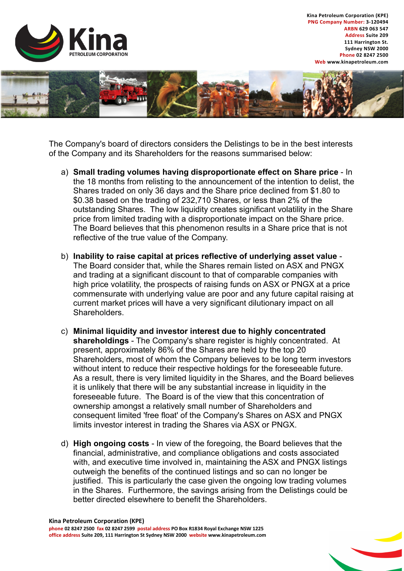

**Kina Petroleum Corporation (KPE) PNG Company Number: 3-120494 ARBN 629 063 547 Address Suite 209 111 Harrington St. Sydney NSW 2000 Phone 02 8247 2500 Web www.kinapetroleum.com**



The Company's board of directors considers the Delistings to be in the best interests of the Company and its Shareholders for the reasons summarised below:

- a) **Small trading volumes having disproportionate effect on Share price** In the 18 months from relisting to the announcement of the intention to delist, the Shares traded on only 36 days and the Share price declined from \$1.80 to \$0.38 based on the trading of 232,710 Shares, or less than 2% of the outstanding Shares. The low liquidity creates significant volatility in the Share price from limited trading with a disproportionate impact on the Share price. The Board believes that this phenomenon results in a Share price that is not reflective of the true value of the Company.
- b) **Inability to raise capital at prices reflective of underlying asset value** The Board consider that, while the Shares remain listed on ASX and PNGX and trading at a significant discount to that of comparable companies with high price volatility, the prospects of raising funds on ASX or PNGX at a price commensurate with underlying value are poor and any future capital raising at current market prices will have a very significant dilutionary impact on all **Shareholders**
- c) **Minimal liquidity and investor interest due to highly concentrated shareholdings** - The Company's share register is highly concentrated. At present, approximately 86% of the Shares are held by the top 20 Shareholders, most of whom the Company believes to be long term investors without intent to reduce their respective holdings for the foreseeable future. As a result, there is very limited liquidity in the Shares, and the Board believes it is unlikely that there will be any substantial increase in liquidity in the foreseeable future. The Board is of the view that this concentration of ownership amongst a relatively small number of Shareholders and consequent limited 'free float' of the Company's Shares on ASX and PNGX limits investor interest in trading the Shares via ASX or PNGX.
- d) **High ongoing costs** In view of the foregoing, the Board believes that the financial, administrative, and compliance obligations and costs associated with, and executive time involved in, maintaining the ASX and PNGX listings outweigh the benefits of the continued listings and so can no longer be justified. This is particularly the case given the ongoing low trading volumes in the Shares. Furthermore, the savings arising from the Delistings could be better directed elsewhere to benefit the Shareholders.